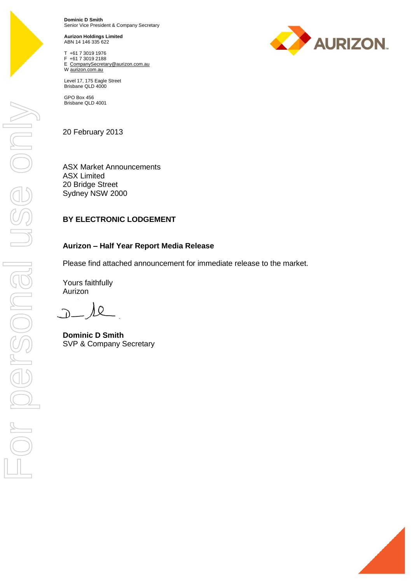

**Dominic D Smith** Senior Vice President & Company Secretary

**Aurizon Holdings Limited** ABN 14 146 335 622

T +61 7 3019 1976 F +61 7 3019 2188 E CompanySecretary@aurizon.com.au W aurizon.com.au



GPO Box 456 Brisbane QLD 4001

20 February 2013

ASX Market Announcements ASX Limited 20 Bridge Street Sydney NSW 2000

## **BY ELECTRONIC LODGEMENT**

### **Aurizon – Half Year Report Media Release**

Please find attached announcement for immediate release to the market.

Yours faithfully Aurizon

 $\Omega$ 

**Dominic D Smith** SVP & Company Secretary





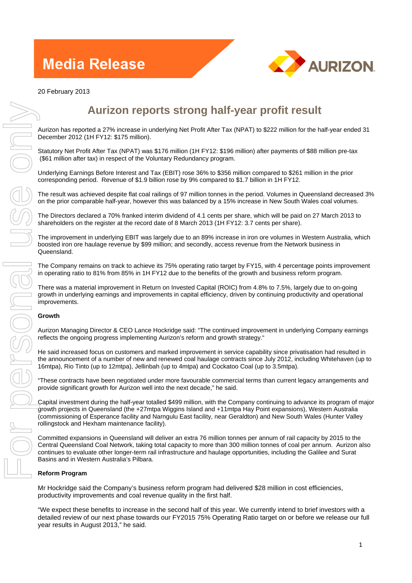# **Media Release**



# **Aurizon reports strong half-year profit result**

Aurizon has reported a 27% increase in underlying Net Profit After Tax (NPAT) to \$222 million for the half-year ended 31 December 2012 (1H FY12: \$175 million).

Statutory Net Profit After Tax (NPAT) was \$176 million (1H FY12: \$196 million) after payments of \$88 million pre-tax (\$61 million after tax) in respect of the Voluntary Redundancy program.

Underlying Earnings Before Interest and Tax (EBIT) rose 36% to \$356 million compared to \$261 million in the prior corresponding period. Revenue of \$1.9 billion rose by 9% compared to \$1.7 billion in 1H FY12.

The result was achieved despite flat coal railings of 97 million tonnes in the period. Volumes in Queensland decreased 3% on the prior comparable half-year, however this was balanced by a 15% increase in New South Wales coal volumes.

The Directors declared a 70% franked interim dividend of 4.1 cents per share, which will be paid on 27 March 2013 to shareholders on the register at the record date of 8 March 2013 (1H FY12: 3.7 cents per share).

The improvement in underlying EBIT was largely due to an 89% increase in iron ore volumes in Western Australia, which boosted iron ore haulage revenue by \$99 million; and secondly, access revenue from the Network business in Queensland.

The Company remains on track to achieve its 75% operating ratio target by FY15, with 4 percentage points improvement in operating ratio to 81% from 85% in 1H FY12 due to the benefits of the growth and business reform program.

There was a material improvement in Return on Invested Capital (ROIC) from 4.8% to 7.5%, largely due to on-going growth in underlying earnings and improvements in capital efficiency, driven by continuing productivity and operational improvements.

#### **Growth**

Aurizon Managing Director & CEO Lance Hockridge said: "The continued improvement in underlying Company earnings reflects the ongoing progress implementing Aurizon's reform and growth strategy."

He said increased focus on customers and marked improvement in service capability since privatisation had resulted in the announcement of a number of new and renewed coal haulage contracts since July 2012, including Whitehaven (up to 16mtpa), Rio Tinto (up to 12mtpa), Jellinbah (up to 4mtpa) and Cockatoo Coal (up to 3.5mtpa).

"These contracts have been negotiated under more favourable commercial terms than current legacy arrangements and provide significant growth for Aurizon well into the next decade," he said.

Capital investment during the half-year totalled \$499 million, with the Company continuing to advance its program of major growth projects in Queensland (the +27mtpa Wiggins Island and +11mtpa Hay Point expansions), Western Australia (commissioning of Esperance facility and Narngulu East facility, near Geraldton) and New South Wales (Hunter Valley rollingstock and Hexham maintenance facility).

Committed expansions in Queensland will deliver an extra 76 million tonnes per annum of rail capacity by 2015 to the Central Queensland Coal Network, taking total capacity to more than 300 million tonnes of coal per annum. Aurizon also continues to evaluate other longer-term rail infrastructure and haulage opportunities, including the Galilee and Surat Basins and in Western Australia's Pilbara.

### **Reform Program**

Mr Hockridge said the Company's business reform program had delivered \$28 million in cost efficiencies, productivity improvements and coal revenue quality in the first half.

"We expect these benefits to increase in the second half of this year. We currently intend to brief investors with a detailed review of our next phase towards our FY2015 75% Operating Ratio target on or before we release our full